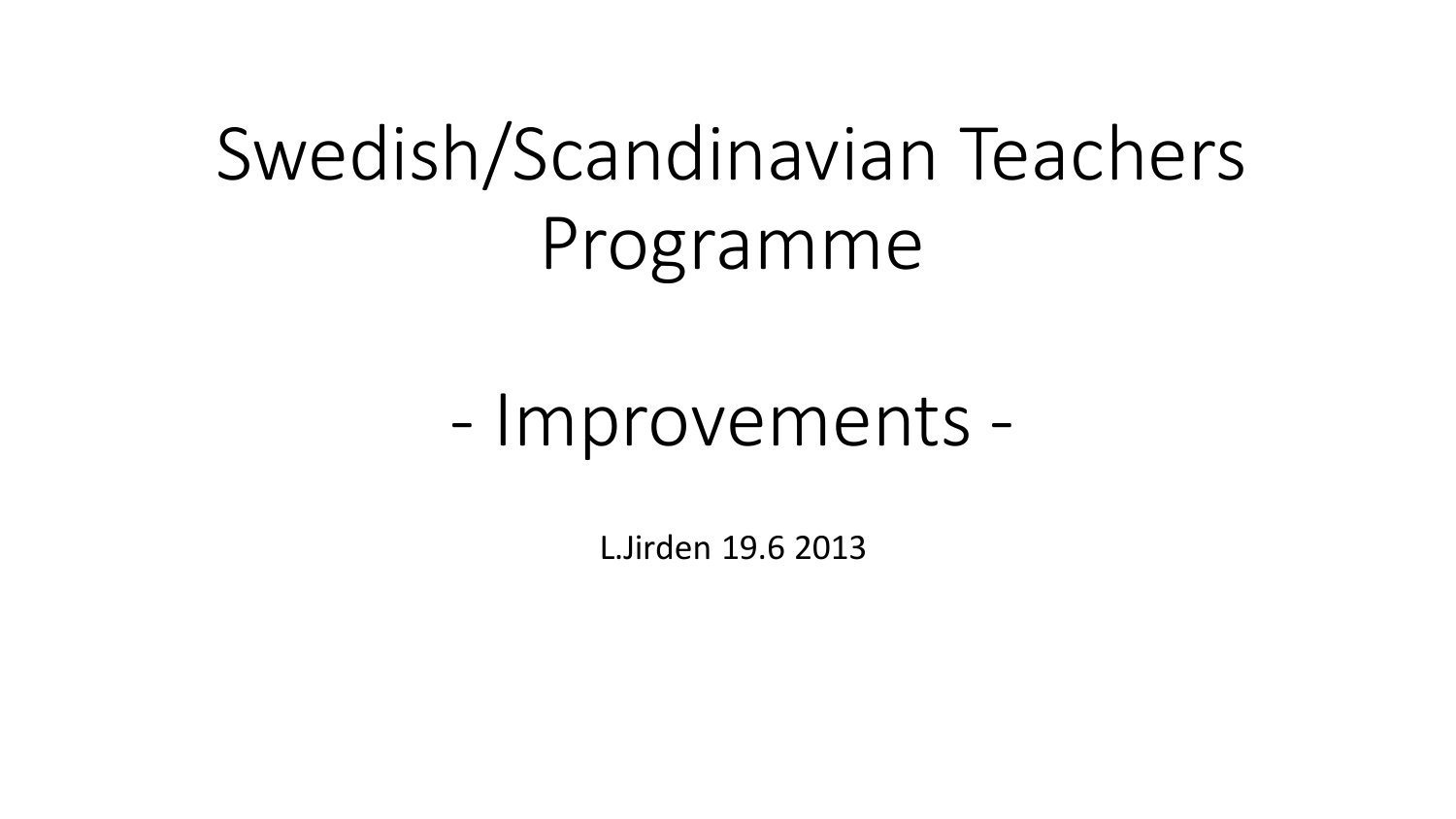# Swedish/Scandinavian Teachers Programme

## - Improvements -

L.Jirden 19.6 2013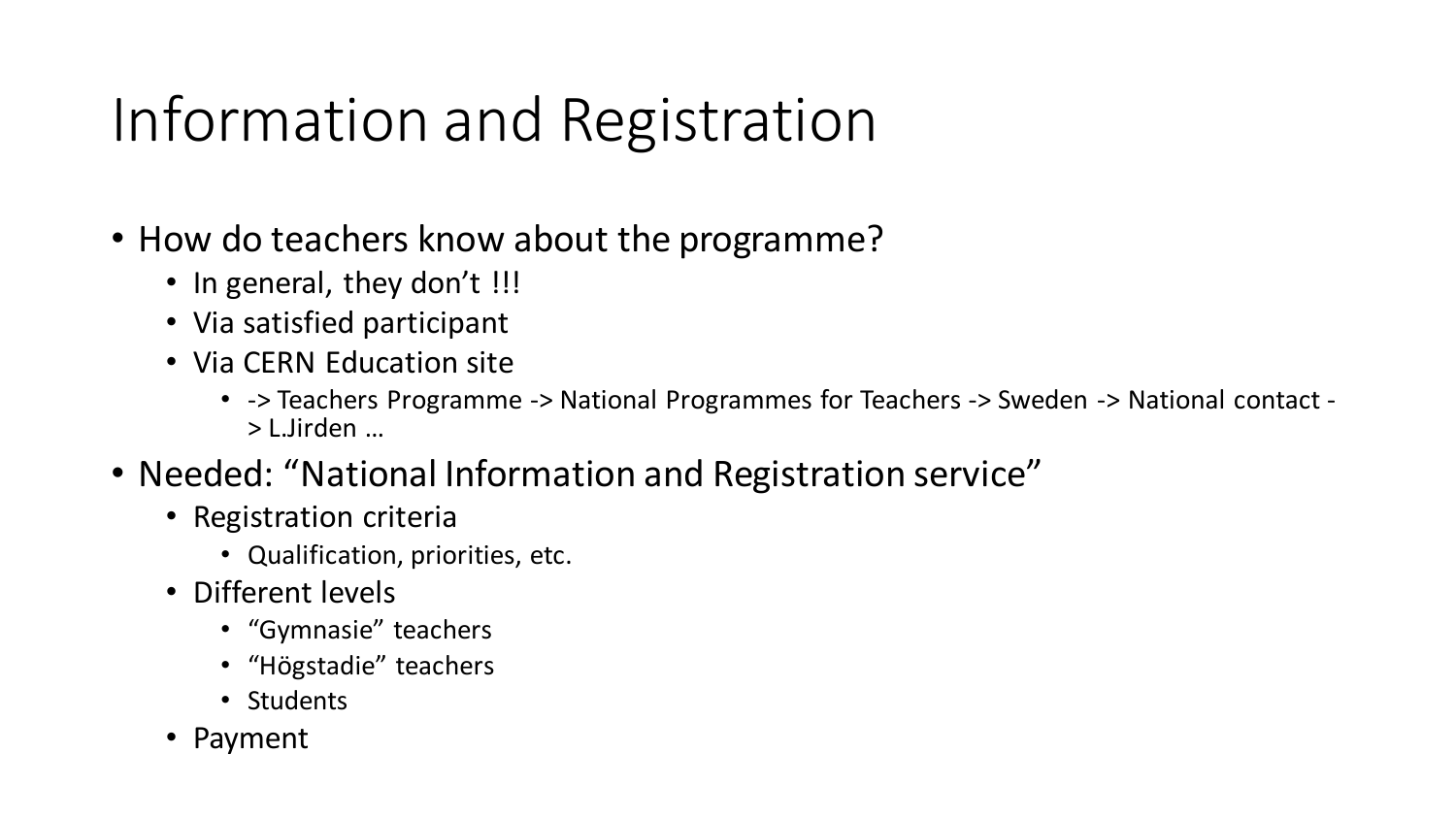# Information and Registration

- How do teachers know about the programme?
	- In general, they don't !!!
	- Via satisfied participant
	- Via CERN Education site
		- -> Teachers Programme -> National Programmes for Teachers -> Sweden -> National contact > L.Jirden …
- Needed: "National Information and Registration service"
	- Registration criteria
		- Qualification, priorities, etc.
	- Different levels
		- "Gymnasie" teachers
		- "Högstadie" teachers
		- Students
	- Payment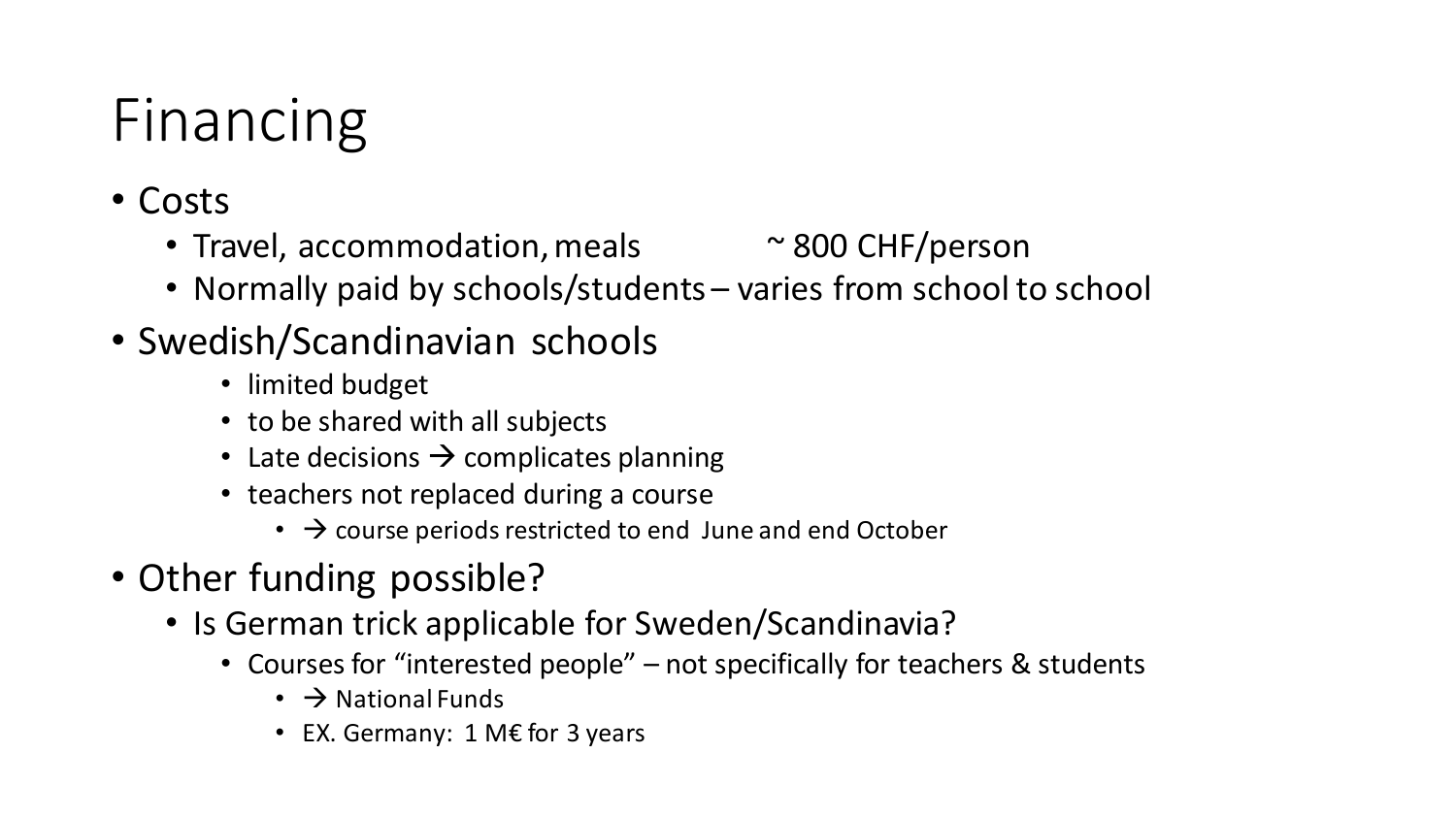# Financing

- Costs
	- Travel, accommodation, meals  $\sim$  800 CHF/person
	- Normally paid by schools/students varies from school to school
- Swedish/Scandinavian schools
	- limited budget
	- to be shared with all subjects
	- Late decisions  $\rightarrow$  complicates planning
	- teachers not replaced during a course
		- $\cdot$   $\rightarrow$  course periods restricted to end June and end October
- Other funding possible?
	- Is German trick applicable for Sweden/Scandinavia?
		- Courses for "interested people" not specifically for teachers & students
			- $\cdot$   $\rightarrow$  National Funds
			- EX. Germany: 1 M€ for 3 years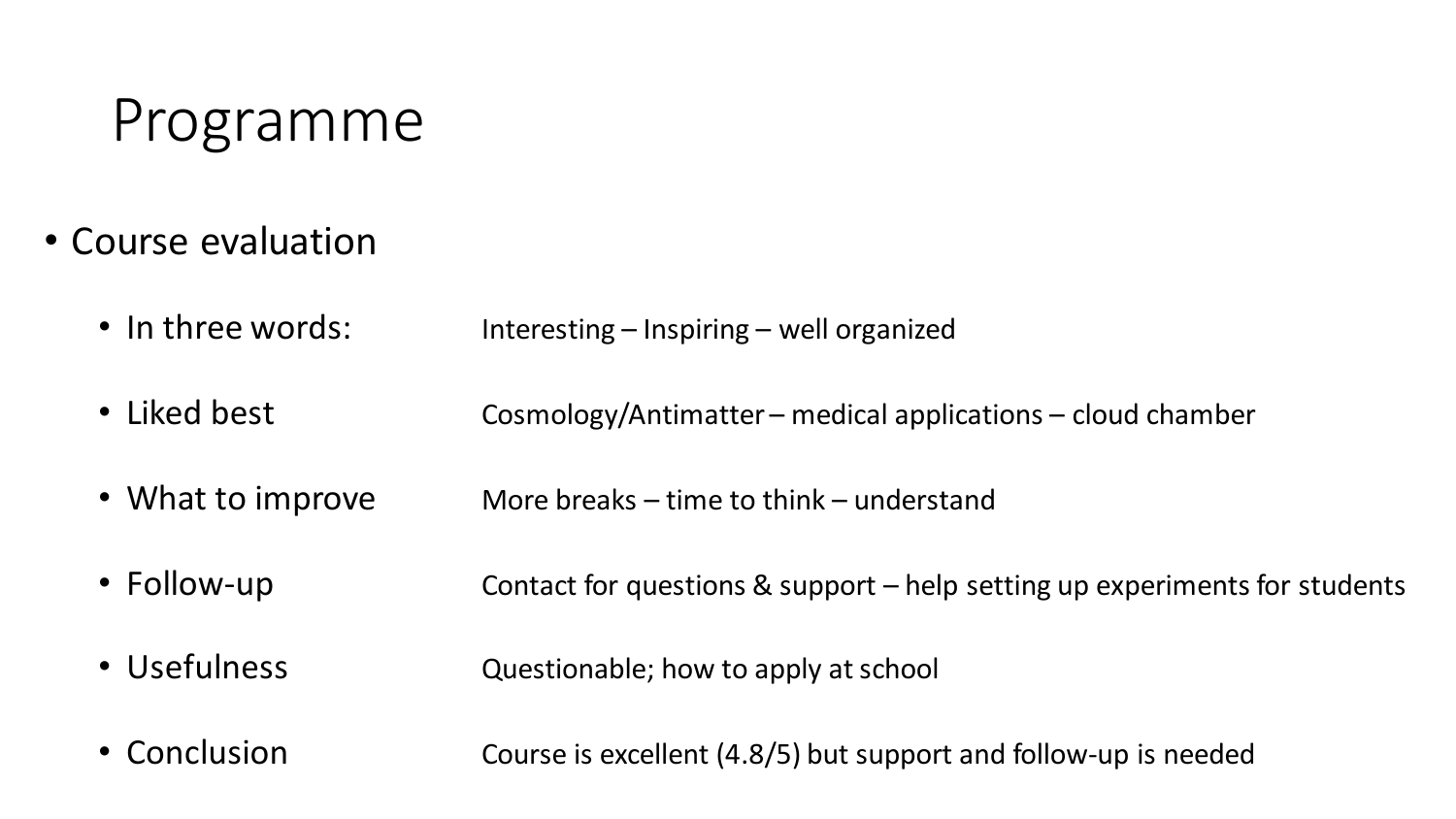#### Programme

- Course evaluation
	- In three words: Interesting Inspiring well organized
	- Liked best Cosmology/Antimatter medical applications cloud chamber
	- What to improve More breaks time to think understand
	- Follow-up **Contact for questions & support** help setting up experiments for students
	- Usefulness **Questionable**; how to apply at school
	- Conclusion **Course is excellent (4.8/5)** but support and follow-up is needed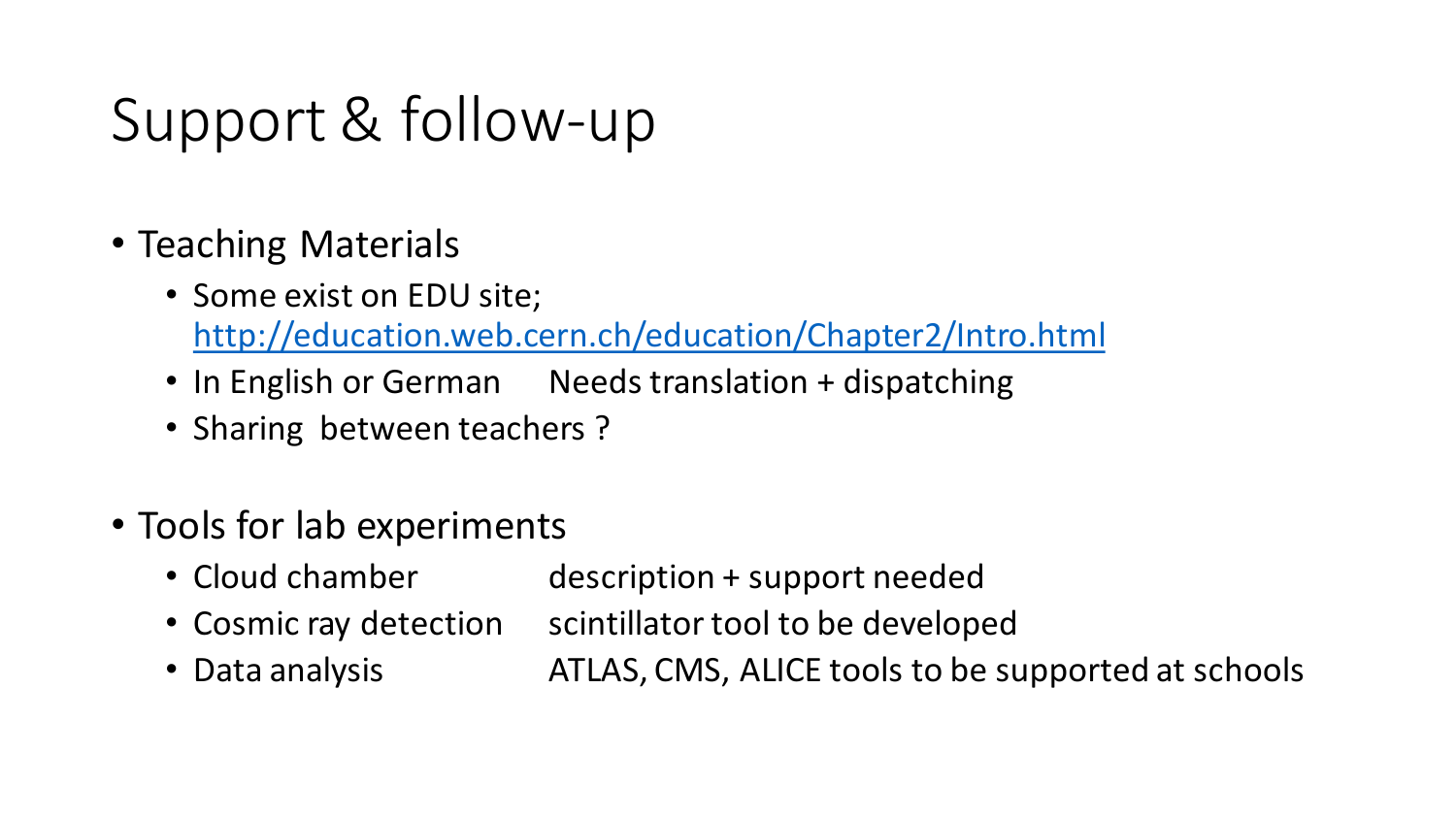# Support & follow-up

- Teaching Materials
	- Some exist on EDU site; <http://education.web.cern.ch/education/Chapter2/Intro.html>
	- In English or German Needs translation + dispatching
	- Sharing between teachers ?
- Tools for lab experiments
	- Cloud chamber description + support needed
	- Cosmic ray detection scintillator tool to be developed
	- Data analysis **ATLAS, CMS, ALICE tools to be supported at schools**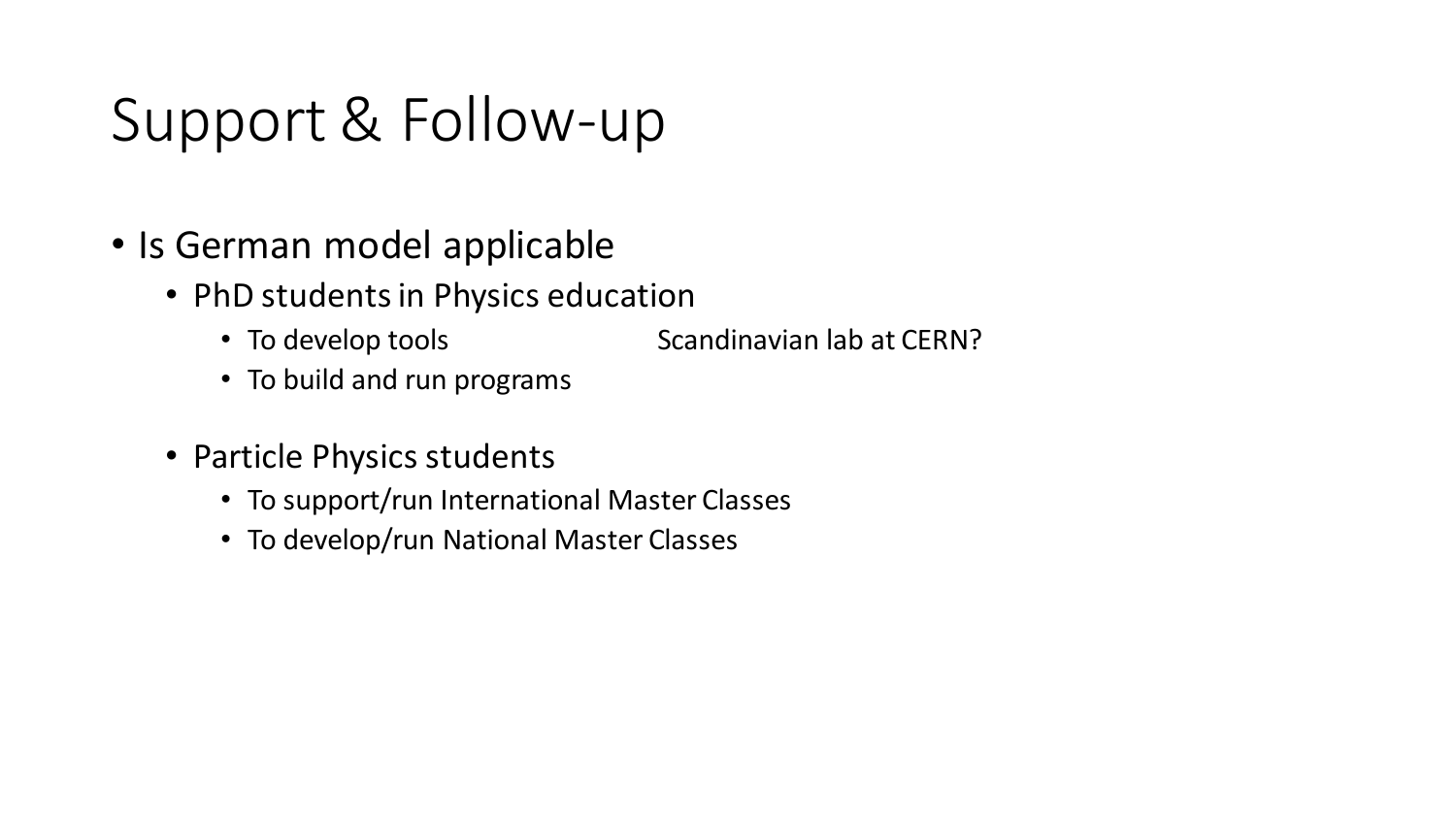# Support & Follow-up

- Is German model applicable
	- PhD students in Physics education
		- To develop tools Scandinavian lab at CERN?
		- To build and run programs
	- Particle Physics students
		- To support/run International Master Classes
		- To develop/run National Master Classes